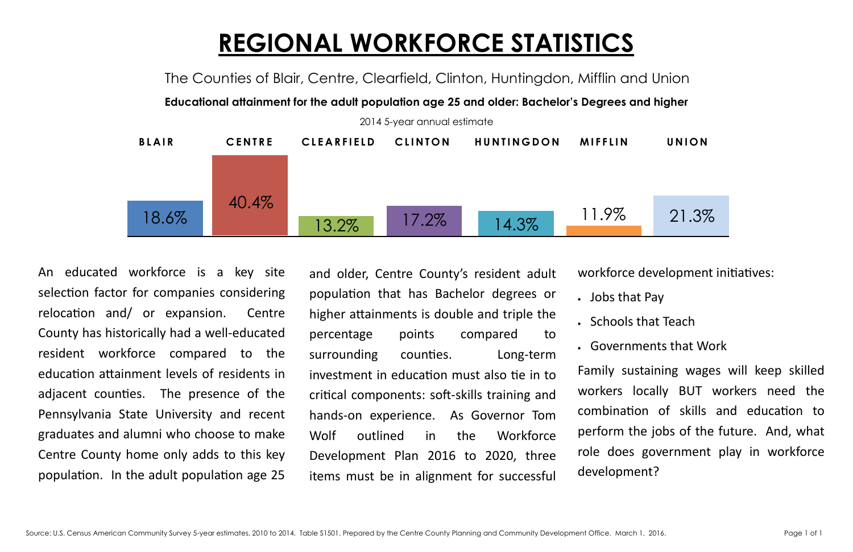## **REGIONAL WORKFORCE STATISTICS** The Counties of Blair, Centre, Clearfield, Clinton, Huntingdon, Mifflin and Union

**Educational attainment for the adult population age 25 and older: Bachelor's Degrees and higher**



and older, Centre County's resident adult population that has Bachelor degrees or higher attainments is double and triple the percentage points compared to surrounding counties. Long-term investment in education must also tie in to critical components: soft-skills training and hands-on experience. As Governor Tom Wolf outlined in the Workforce Development Plan 2016 to 2020, three items must be in alignment for successful

workforce development initiatives:

- Jobs that Pay
- Schools that Teach

 Governments that Work Family sustaining wages will keep skilled workers locally BUT workers need the combination of skills and education to perform the jobs of the future. And, what role does government play in workforce development?

An educated workforce is a key site selection factor for companies considering relocation and/ or expansion. Centre County has historically had a well-educated resident workforce compared to the education attainment levels of residents in adjacent counties. The presence of the Pennsylvania State University and recent graduates and alumni who choose to make Centre County home only adds to this key population. In the adult population age 25